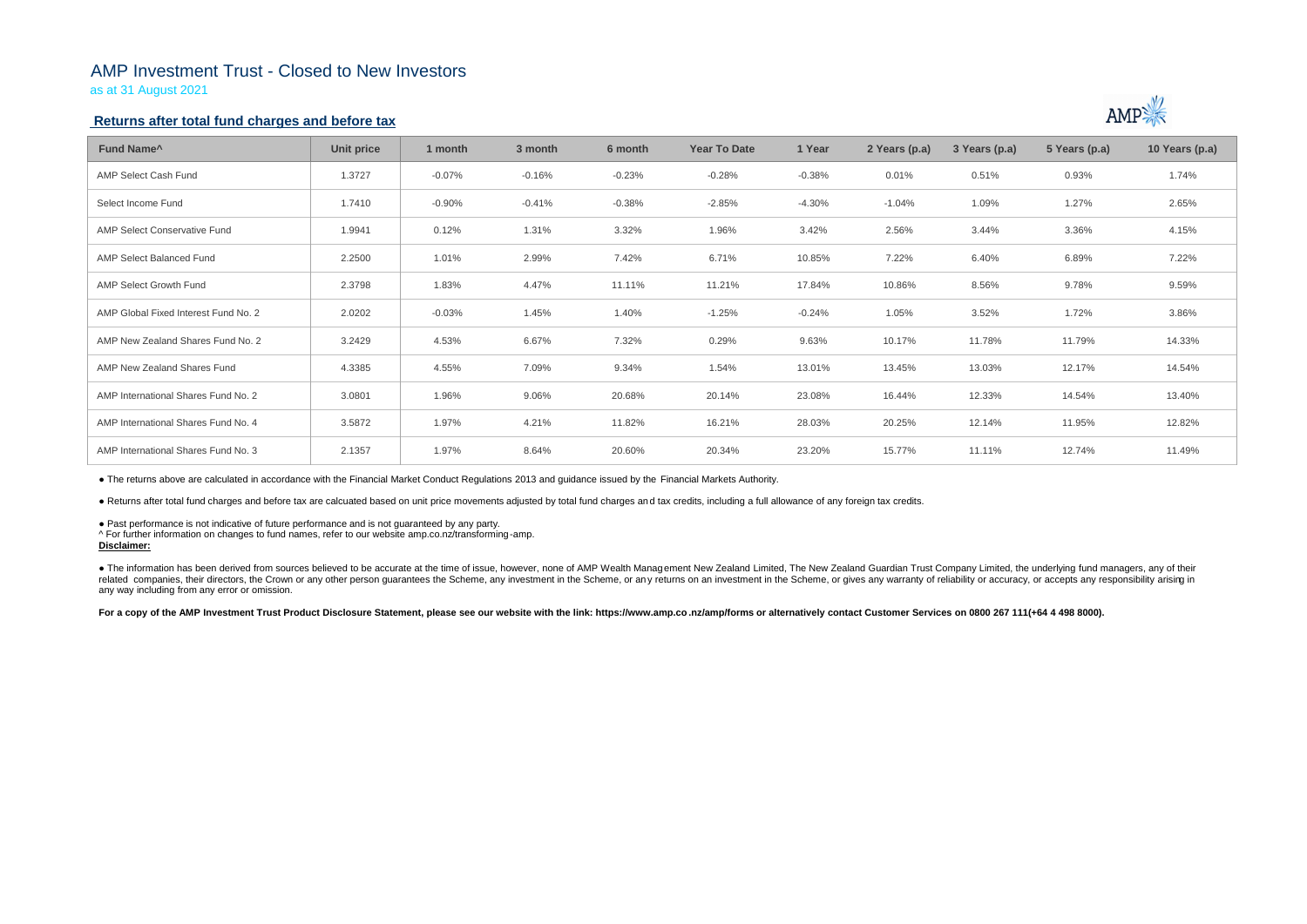# AMP Investment Trust - Closed to New Investors

as at 31 August 2021

### **Returns after total fund charges and before tax**

| Fund Name <sup>^</sup>               | Unit price | 1 month  | 3 month  | 6 month  | <b>Year To Date</b> | 1 Year   | 2 Years (p.a) | 3 Years (p.a) | 5 Years (p.a) | 10 Years (p.a) |
|--------------------------------------|------------|----------|----------|----------|---------------------|----------|---------------|---------------|---------------|----------------|
| AMP Select Cash Fund                 | 1.3727     | $-0.07%$ | $-0.16%$ | $-0.23%$ | $-0.28%$            | $-0.38%$ | 0.01%         | 0.51%         | 0.93%         | 1.74%          |
| Select Income Fund                   | 1.7410     | $-0.90%$ | $-0.41%$ | $-0.38%$ | $-2.85%$            | $-4.30%$ | $-1.04%$      | 1.09%         | 1.27%         | 2.65%          |
| AMP Select Conservative Fund         | 1.9941     | 0.12%    | 1.31%    | 3.32%    | 1.96%               | 3.42%    | 2.56%         | 3.44%         | 3.36%         | 4.15%          |
| AMP Select Balanced Fund             | 2.2500     | 1.01%    | 2.99%    | 7.42%    | 6.71%               | 10.85%   | 7.22%         | 6.40%         | 6.89%         | 7.22%          |
| <b>AMP Select Growth Fund</b>        | 2.3798     | 1.83%    | 4.47%    | 11.11%   | 11.21%              | 17.84%   | 10.86%        | 8.56%         | 9.78%         | 9.59%          |
| AMP Global Fixed Interest Fund No. 2 | 2.0202     | $-0.03%$ | 1.45%    | 1.40%    | $-1.25%$            | $-0.24%$ | 1.05%         | 3.52%         | 1.72%         | 3.86%          |
| AMP New Zealand Shares Fund No. 2    | 3.2429     | 4.53%    | 6.67%    | 7.32%    | 0.29%               | 9.63%    | 10.17%        | 11.78%        | 11.79%        | 14.33%         |
| AMP New Zealand Shares Fund          | 4.3385     | 4.55%    | 7.09%    | 9.34%    | 1.54%               | 13.01%   | 13.45%        | 13.03%        | 12.17%        | 14.54%         |
| AMP International Shares Fund No. 2  | 3.0801     | 1.96%    | 9.06%    | 20.68%   | 20.14%              | 23.08%   | 16.44%        | 12.33%        | 14.54%        | 13.40%         |
| AMP International Shares Fund No. 4  | 3.5872     | 1.97%    | 4.21%    | 11.82%   | 16.21%              | 28.03%   | 20.25%        | 12.14%        | 11.95%        | 12.82%         |
| AMP International Shares Fund No. 3  | 2.1357     | 1.97%    | 8.64%    | 20.60%   | 20.34%              | 23.20%   | 15.77%        | 11.11%        | 12.74%        | 11.49%         |

• The information has been derived from sources believed to be accurate at the time of issue, however, none of AMP Wealth Management New Zealand Limited, The New Zealand Guardian Trust Company Limited, the underlying fund related companies, their directors, the Crown or any other person quarantees the Scheme, any investment in the Scheme, or any returns on an investment in the Scheme, or gives any warranty of reliability or accuracy, or acc any way including from any error or omission.

For a copy of the AMP Investment Trust Product Disclosure Statement, please see our website with the link: https://www.amp.co.nz/amp/forms or alternatively contact Customer Services on 0800 267 111(+64 4 498 8000).



● The returns above are calculated in accordance with the Financial Market Conduct Regulations 2013 and guidance issued by the Financial Markets Authority.

● Returns after total fund charges and before tax are calcuated based on unit price movements adjusted by total fund charges and tax credits, including a full allowance of any foreign tax credits.

● Past performance is not indicative of future performance and is not guaranteed by any party.

^ For further information on changes to fund names, refer to our website amp.co.nz/transforming-amp.

## **Disclaimer:**